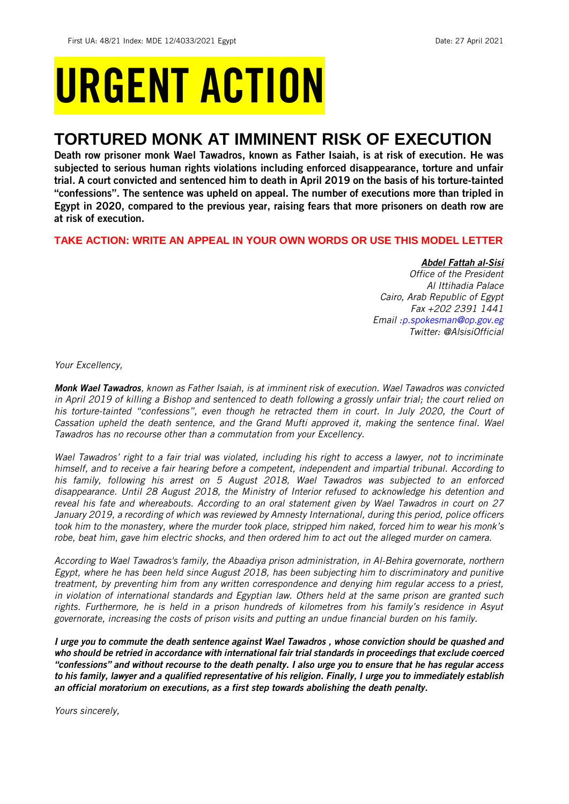# URGENT ACTION

## **TORTURED MONK AT IMMINENT RISK OF EXECUTION**

Death row prisoner monk Wael Tawadros, known as Father Isaiah, is at risk of execution. He was subjected to serious human rights violations including enforced disappearance, torture and unfair trial. A court convicted and sentenced him to death in April 2019 on the basis of his torture-tainted "confessions". The sentence was upheld on appeal. The number of executions more than tripled in Egypt in 2020, compared to the previous year, raising fears that more prisoners on death row are at risk of execution.

**TAKE ACTION: WRITE AN APPEAL IN YOUR OWN WORDS OR USE THIS MODEL LETTER**

## *Abdel Fattah al-Sisi*

*Office of the President Al Ittihadia Palace Cairo, Arab Republic of Egypt Fax +202 2391 1441 Email [:p.spokesman@op.gov.eg](mailto:p.spokesman@op.gov.eg) Twitter: @AlsisiOfficial*

*Your Excellency,*

*Monk Wael Tawadros, known as Father Isaiah, is at imminent risk of execution. Wael Tawadros was convicted in April 2019 of killing a Bishop and sentenced to death following a grossly unfair trial; the court relied on his torture-tainted "confessions", even though he retracted them in court. In July 2020, the Court of Cassation upheld the death sentence, and the Grand Mufti approved it, making the sentence final. Wael Tawadros has no recourse other than a commutation from your Excellency.*

*Wael Tawadros' right to a fair trial was violated, including his right to access a lawyer, not to incriminate himself, and to receive a fair hearing before a competent, independent and impartial tribunal. According to his family, following his arrest on 5 August 2018, Wael Tawadros was subjected to an enforced disappearance. Until 28 August 2018, the Ministry of Interior refused to acknowledge his detention and reveal his fate and whereabouts. According to an oral statement given by Wael Tawadros in court on 27 January 2019, a recording of which was reviewed by Amnesty International, during this period, police officers took him to the monastery, where the murder took place, stripped him naked, forced him to wear his monk's robe, beat him, gave him electric shocks, and then ordered him to act out the alleged murder on camera.*

*According to Wael Tawadros's family, the Abaadiya prison administration, in Al-Behira governorate, northern Egypt, where he has been held since August 2018, has been subjecting him to discriminatory and punitive treatment, by preventing him from any written correspondence and denying him regular access to a priest, in violation of international standards and Egyptian law. Others held at the same prison are granted such rights. Furthermore, he is held in a prison hundreds of kilometres from his family's residence in Asyut governorate, increasing the costs of prison visits and putting an undue financial burden on his family.*

*I urge you to commute the death sentence against Wael Tawadros , whose conviction should be quashed and who should be retried in accordance with international fair trial standards in proceedings that exclude coerced "confessions" and without recourse to the death penalty. I also urge you to ensure that he has regular access to his family, lawyer and a qualified representative of his religion. Finally, I urge you to immediately establish an official moratorium on executions, as a first step towards abolishing the death penalty.*

*Yours sincerely,*